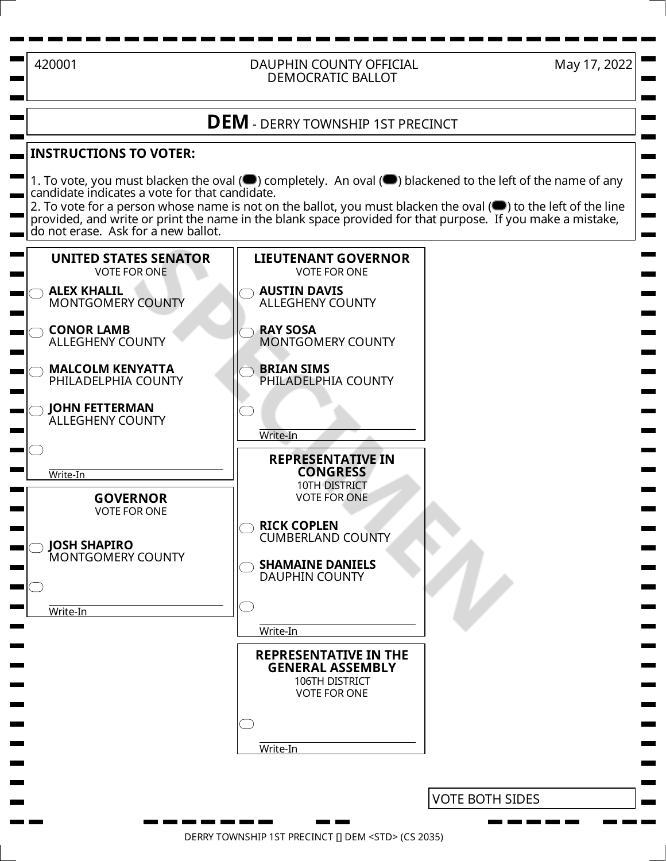## 420001 DAUPHIN COUNTY OFFICIAL DEMOCRATIC BALLOT

May 17, 2022

## **DEM** - DERRY TOWNSHIP 1ST PRECINCT

## **INSTRUCTIONS TO VOTER:**

1. To vote, you must blacken the oval  $(\blacksquare)$  completely. An oval  $(\blacksquare)$  blackened to the left of the name of any candidate indicates a vote for that candidate.

2. To vote for a person whose name is not on the ballot, you must blacken the oval ( $\bullet$ ) to the left of the line provided, and write or print the name in the blank space provided for that purpose. If you make a mistake, do not erase. Ask for a new ballot.



VOTE BOTH SIDES